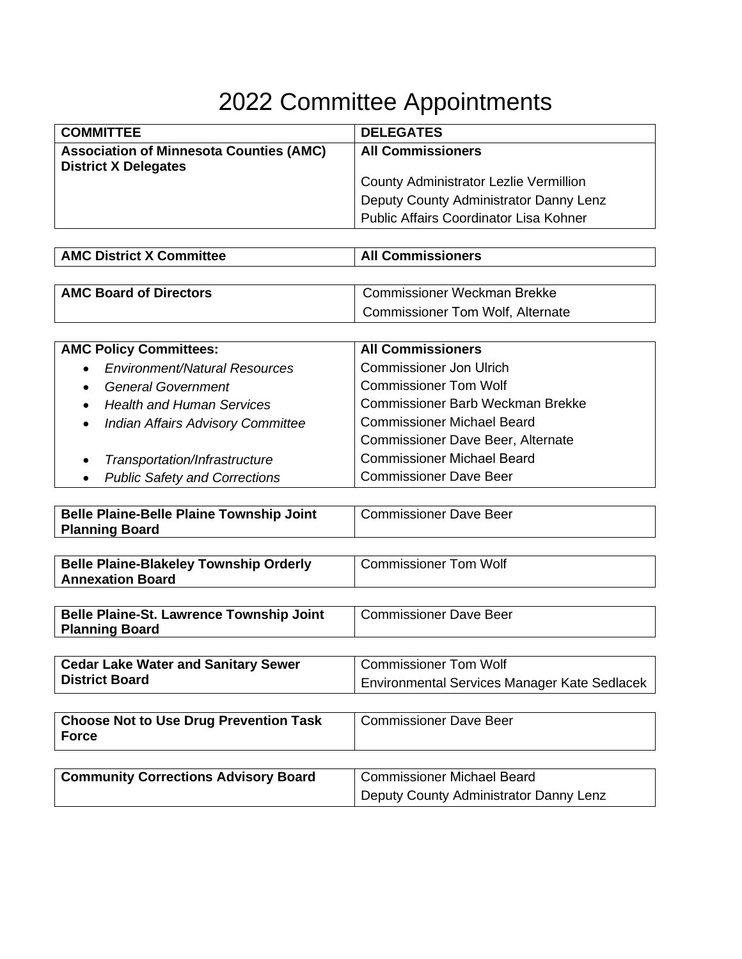## 2022 Committee Appointments

| <b>COMMITTEE</b>                                                              | <b>DELEGATES</b>                       |
|-------------------------------------------------------------------------------|----------------------------------------|
| <b>Association of Minnesota Counties (AMC)</b><br><b>District X Delegates</b> | <b>All Commissioners</b>               |
|                                                                               | County Administrator Lezlie Vermillion |
|                                                                               | Deputy County Administrator Danny Lenz |
|                                                                               | Public Affairs Coordinator Lisa Kohner |

| <b>AMC District X Committee</b> | <b>All Commissioners</b> |
|---------------------------------|--------------------------|
|                                 |                          |

| <b>AMC Board of Directors</b> | Commissioner Weckman Brekke      |
|-------------------------------|----------------------------------|
|                               | Commissioner Tom Wolf, Alternate |

| <b>AMC Policy Committees:</b>                         | <b>All Commissioners</b>                 |
|-------------------------------------------------------|------------------------------------------|
| <b>Environment/Natural Resources</b><br>$\bullet$     | <b>Commissioner Jon Ulrich</b>           |
| <b>General Government</b><br>$\bullet$                | <b>Commissioner Tom Wolf</b>             |
| <b>Health and Human Services</b><br>$\bullet$         | <b>Commissioner Barb Weckman Brekke</b>  |
| <b>Indian Affairs Advisory Committee</b><br>$\bullet$ | <b>Commissioner Michael Beard</b>        |
|                                                       | <b>Commissioner Dave Beer, Alternate</b> |
| Transportation/Infrastructure<br>$\bullet$            | <b>Commissioner Michael Beard</b>        |
| <b>Public Safety and Corrections</b><br>$\bullet$     | <b>Commissioner Dave Beer</b>            |

| <b>Belle Plaine-Belle Plaine Township Joint</b> | Commissioner Dave Beer |
|-------------------------------------------------|------------------------|
| <b>Planning Board</b>                           |                        |

| <b>Belle Plaine-Blakeley Township Orderly</b> | <b>Commissioner Tom Wolf</b> |
|-----------------------------------------------|------------------------------|
| <b>Annexation Board</b>                       |                              |
|                                               |                              |

| <b>Belle Plaine-St. Lawrence Township Joint</b> | Commissioner Dave Beer |
|-------------------------------------------------|------------------------|
| <b>Planning Board</b>                           |                        |

| <b>Cedar Lake Water and Sanitary Sewer</b> | Commissioner Tom Wolf                        |
|--------------------------------------------|----------------------------------------------|
| <b>District Board</b>                      | Environmental Services Manager Kate Sedlacek |

| <b>Choose Not to Use Drug Prevention Task</b><br><b>Force</b> | <b>Commissioner Dave Beer</b>          |
|---------------------------------------------------------------|----------------------------------------|
|                                                               |                                        |
| <b>Community Corrections Advisory Board</b>                   | <b>Commissioner Michael Beard</b>      |
|                                                               | Deputy County Administrator Danny Lenz |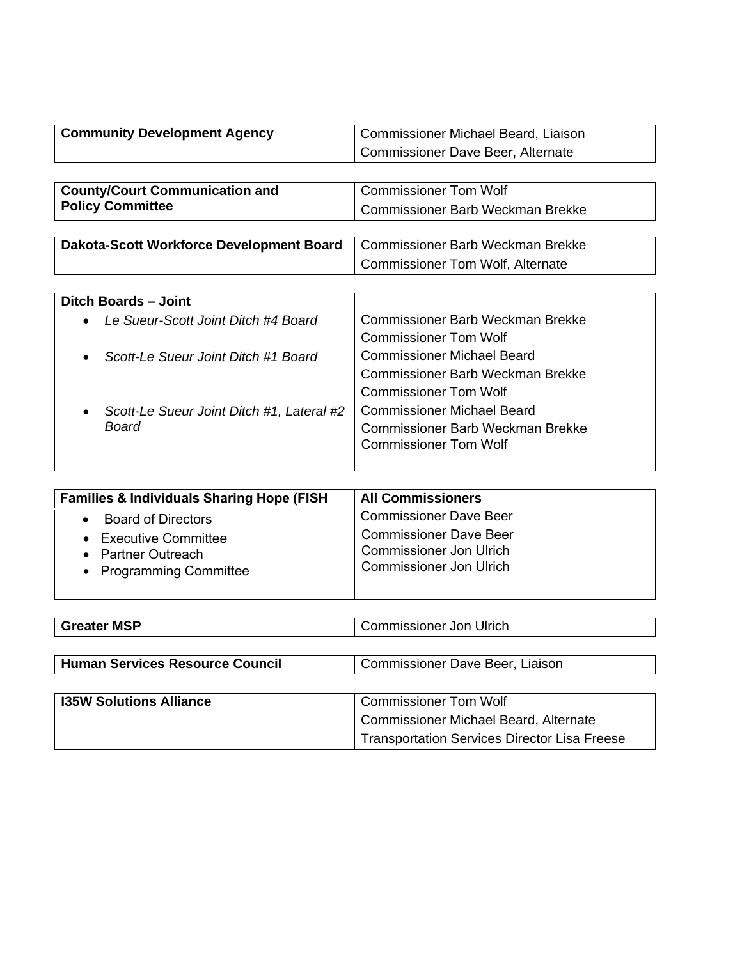| <b>Commissioner Dave Beer, Alternate</b>                                                                   |  |
|------------------------------------------------------------------------------------------------------------|--|
|                                                                                                            |  |
|                                                                                                            |  |
| <b>Commissioner Tom Wolf</b><br><b>County/Court Communication and</b>                                      |  |
| <b>Policy Committee</b><br>Commissioner Barb Weckman Brekke                                                |  |
|                                                                                                            |  |
| <b>Commissioner Barb Weckman Brekke</b><br>Dakota-Scott Workforce Development Board                        |  |
| <b>Commissioner Tom Wolf, Alternate</b>                                                                    |  |
|                                                                                                            |  |
| <b>Ditch Boards - Joint</b>                                                                                |  |
| Commissioner Barb Weckman Brekke<br>Le Sueur-Scott Joint Ditch #4 Board                                    |  |
| <b>Commissioner Tom Wolf</b>                                                                               |  |
| Commissioner Michael Beard<br>Scott-Le Sueur Joint Ditch #1 Board                                          |  |
| Commissioner Barb Weckman Brekke                                                                           |  |
| <b>Commissioner Tom Wolf</b>                                                                               |  |
| Commissioner Michael Beard<br>Scott-Le Sueur Joint Ditch #1, Lateral #2                                    |  |
| Board<br>Commissioner Barb Weckman Brekke                                                                  |  |
| <b>Commissioner Tom Wolf</b>                                                                               |  |
|                                                                                                            |  |
|                                                                                                            |  |
| <b>All Commissioners</b><br><b>Families &amp; Individuals Sharing Hope (FISH</b><br>Commissioner Dave Door |  |

| <b>1 annually a marriage on anny 110pc (11011</b>                      | AII VYHIIIIIJJIVIIVI J                                                                            |
|------------------------------------------------------------------------|---------------------------------------------------------------------------------------------------|
| <b>Board of Directors</b>                                              | <b>Commissioner Dave Beer</b>                                                                     |
| • Executive Committee<br>• Partner Outreach<br>• Programming Committee | <b>Commissioner Dave Beer</b><br><b>Commissioner Jon Ulrich</b><br><b>Commissioner Jon Ulrich</b> |

| <b>Greater MSP</b> | Ulrich<br>Commissioner Jon I |
|--------------------|------------------------------|
|                    |                              |

| <b>Human Services Resource Council</b> | Commissioner Dave Beer, Liaison |
|----------------------------------------|---------------------------------|
|                                        |                                 |

| <b>135W Solutions Alliance</b> | Commissioner Tom Wolf                               |
|--------------------------------|-----------------------------------------------------|
|                                | Commissioner Michael Beard, Alternate               |
|                                | <b>Transportation Services Director Lisa Freese</b> |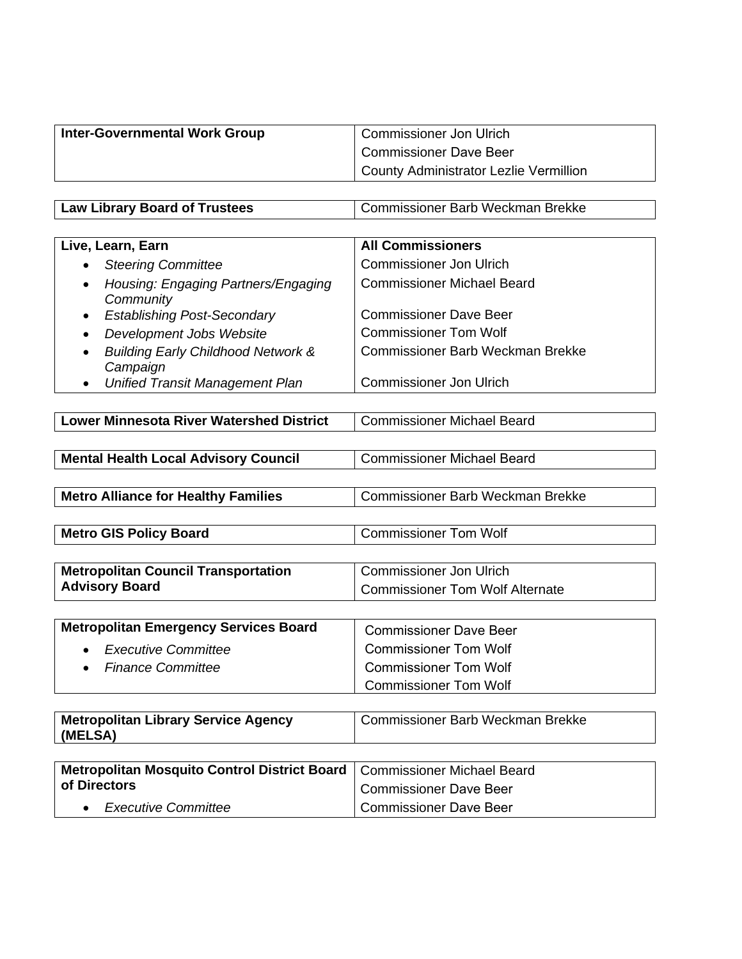| <b>Commissioner Dave Beer</b>          |
|----------------------------------------|
| County Administrator Lezlie Vermillion |

**Law Library Board of Trustees Commissioner Barb Weckman Brekke** 

| Live, Learn, Earn                                                      | <b>All Commissioners</b>                |
|------------------------------------------------------------------------|-----------------------------------------|
| <b>Steering Committee</b><br>$\bullet$                                 | <b>Commissioner Jon Ulrich</b>          |
| Housing: Engaging Partners/Engaging<br>$\bullet$<br>Community          | <b>Commissioner Michael Beard</b>       |
| <b>Establishing Post-Secondary</b><br>$\bullet$                        | <b>Commissioner Dave Beer</b>           |
| Development Jobs Website<br>٠                                          | <b>Commissioner Tom Wolf</b>            |
| <b>Building Early Childhood Network &amp;</b><br>$\bullet$<br>Campaign | <b>Commissioner Barb Weckman Brekke</b> |
|                                                                        | Compositoriana na Lama Uluiale          |

• *Unified Transit Management Plan* | Commissioner Jon Ulrich

| <b>Lower Minnesota River Watershed District</b> | Commissioner Michael Beard |
|-------------------------------------------------|----------------------------|
|-------------------------------------------------|----------------------------|

| <b>Mental Health Local Advisory Council</b> | Commissioner Michael Beard |
|---------------------------------------------|----------------------------|
|---------------------------------------------|----------------------------|

**Metro Alliance for Healthy Families** Commissioner Barb Weckman Brekke

**Metro GIS Policy Board** Commissioner Tom Wolf

| <b>Metropolitan Council Transportation</b> | Commissioner Jon Ulrich         |
|--------------------------------------------|---------------------------------|
| <b>Advisory Board</b>                      | Commissioner Tom Wolf Alternate |

| <b>Metropolitan Emergency Services Board</b> | <b>Commissioner Dave Beer</b> |
|----------------------------------------------|-------------------------------|
| • Executive Committee                        | <b>Commissioner Tom Wolf</b>  |
| • Finance Committee                          | <b>Commissioner Tom Wolf</b>  |
|                                              | <b>Commissioner Tom Wolf</b>  |

| <b>Metropolitan Library Service Agency</b><br>(MELSA) | Commissioner Barb Weckman Brekke |
|-------------------------------------------------------|----------------------------------|
|                                                       |                                  |

| Metropolitan Mosquito Control District Board   Commissioner Michael Beard |                        |
|---------------------------------------------------------------------------|------------------------|
| of Directors                                                              | Commissioner Dave Beer |
| <i><b>Executive Committee</b></i>                                         | Commissioner Dave Beer |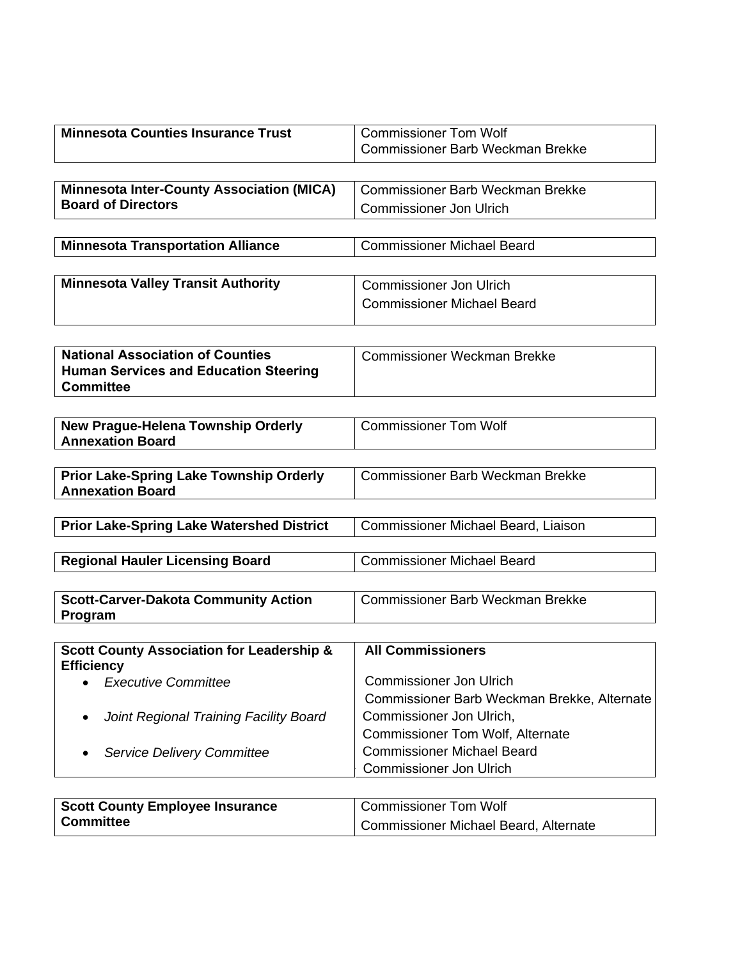| <b>Minnesota Counties Insurance Trust</b>            | <b>Commissioner Tom Wolf</b>                 |
|------------------------------------------------------|----------------------------------------------|
|                                                      | <b>Commissioner Barb Weckman Brekke</b>      |
|                                                      |                                              |
| <b>Minnesota Inter-County Association (MICA)</b>     | <b>Commissioner Barb Weckman Brekke</b>      |
| <b>Board of Directors</b>                            | Commissioner Jon Ulrich                      |
|                                                      |                                              |
| <b>Minnesota Transportation Alliance</b>             | <b>Commissioner Michael Beard</b>            |
|                                                      |                                              |
| <b>Minnesota Valley Transit Authority</b>            | <b>Commissioner Jon Ulrich</b>               |
|                                                      | <b>Commissioner Michael Beard</b>            |
|                                                      |                                              |
|                                                      |                                              |
| <b>National Association of Counties</b>              | <b>Commissioner Weckman Brekke</b>           |
| <b>Human Services and Education Steering</b>         |                                              |
| <b>Committee</b>                                     |                                              |
|                                                      |                                              |
| New Prague-Helena Township Orderly                   | <b>Commissioner Tom Wolf</b>                 |
| <b>Annexation Board</b>                              |                                              |
|                                                      |                                              |
| <b>Prior Lake-Spring Lake Township Orderly</b>       | <b>Commissioner Barb Weckman Brekke</b>      |
| <b>Annexation Board</b>                              |                                              |
|                                                      |                                              |
| <b>Prior Lake-Spring Lake Watershed District</b>     | Commissioner Michael Beard, Liaison          |
| <b>Regional Hauler Licensing Board</b>               | <b>Commissioner Michael Beard</b>            |
|                                                      |                                              |
| <b>Scott-Carver-Dakota Community Action</b>          | <b>Commissioner Barb Weckman Brekke</b>      |
| Program                                              |                                              |
|                                                      |                                              |
| <b>Scott County Association for Leadership &amp;</b> | <b>All Commissioners</b>                     |
| <b>Efficiency</b>                                    |                                              |
| <b>Executive Committee</b>                           | <b>Commissioner Jon Ulrich</b>               |
|                                                      | Commissioner Barb Weckman Brekke, Alternate  |
| Joint Regional Training Facility Board               | Commissioner Jon Ulrich,                     |
|                                                      | <b>Commissioner Tom Wolf, Alternate</b>      |
| <b>Service Delivery Committee</b>                    | <b>Commissioner Michael Beard</b>            |
|                                                      | <b>Commissioner Jon Ulrich</b>               |
|                                                      |                                              |
| <b>Scott County Employee Insurance</b>               | <b>Commissioner Tom Wolf</b>                 |
| <b>Committee</b>                                     | <b>Commissioner Michael Beard, Alternate</b> |
|                                                      |                                              |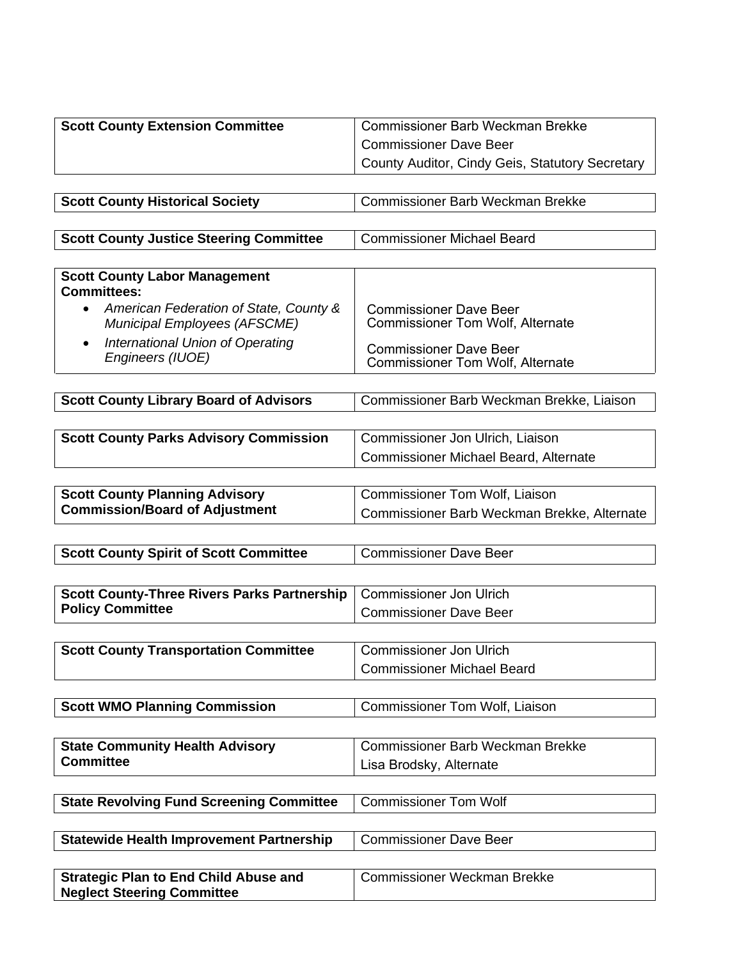| <b>Scott County Extension Committee</b>                                             | <b>Commissioner Barb Weckman Brekke</b>                                  |
|-------------------------------------------------------------------------------------|--------------------------------------------------------------------------|
|                                                                                     | <b>Commissioner Dave Beer</b>                                            |
|                                                                                     | County Auditor, Cindy Geis, Statutory Secretary                          |
|                                                                                     |                                                                          |
| <b>Scott County Historical Society</b>                                              | <b>Commissioner Barb Weckman Brekke</b>                                  |
|                                                                                     |                                                                          |
| <b>Scott County Justice Steering Committee</b>                                      | <b>Commissioner Michael Beard</b>                                        |
|                                                                                     |                                                                          |
| <b>Scott County Labor Management</b><br><b>Committees:</b>                          |                                                                          |
| American Federation of State, County &<br>$\bullet$<br>Municipal Employees (AFSCME) | <b>Commissioner Dave Beer</b><br><b>Commissioner Tom Wolf, Alternate</b> |
| International Union of Operating<br>$\bullet$<br>Engineers (IUOE)                   | <b>Commissioner Dave Beer</b><br><b>Commissioner Tom Wolf, Alternate</b> |
|                                                                                     |                                                                          |
| <b>Scott County Library Board of Advisors</b>                                       | Commissioner Barb Weckman Brekke, Liaison                                |
|                                                                                     |                                                                          |
| <b>Scott County Parks Advisory Commission</b>                                       | Commissioner Jon Ulrich, Liaison                                         |
|                                                                                     | <b>Commissioner Michael Beard, Alternate</b>                             |
|                                                                                     |                                                                          |
| <b>Scott County Planning Advisory</b>                                               | Commissioner Tom Wolf, Liaison                                           |
| <b>Commission/Board of Adjustment</b>                                               | Commissioner Barb Weckman Brekke, Alternate                              |
|                                                                                     |                                                                          |
| <b>Scott County Spirit of Scott Committee</b>                                       | <b>Commissioner Dave Beer</b>                                            |
|                                                                                     |                                                                          |
| <b>Scott County-Three Rivers Parks Partnership</b>                                  | <b>Commissioner Jon Ulrich</b>                                           |
| <b>Policy Committee</b>                                                             | <b>Commissioner Dave Beer</b>                                            |
|                                                                                     |                                                                          |
| <b>Scott County Transportation Committee</b>                                        | <b>Commissioner Jon Ulrich</b>                                           |
|                                                                                     | <b>Commissioner Michael Beard</b>                                        |
|                                                                                     |                                                                          |
| <b>Scott WMO Planning Commission</b>                                                | <b>Commissioner Tom Wolf, Liaison</b>                                    |
|                                                                                     |                                                                          |
| <b>State Community Health Advisory</b><br><b>Committee</b>                          | <b>Commissioner Barb Weckman Brekke</b>                                  |
|                                                                                     | Lisa Brodsky, Alternate                                                  |
|                                                                                     | <b>Commissioner Tom Wolf</b>                                             |
| <b>State Revolving Fund Screening Committee</b>                                     |                                                                          |
|                                                                                     | <b>Commissioner Dave Beer</b>                                            |
| <b>Statewide Health Improvement Partnership</b>                                     |                                                                          |
| <b>Strategic Plan to End Child Abuse and</b>                                        | <b>Commissioner Weckman Brekke</b>                                       |
| <b>Neglect Steering Committee</b>                                                   |                                                                          |